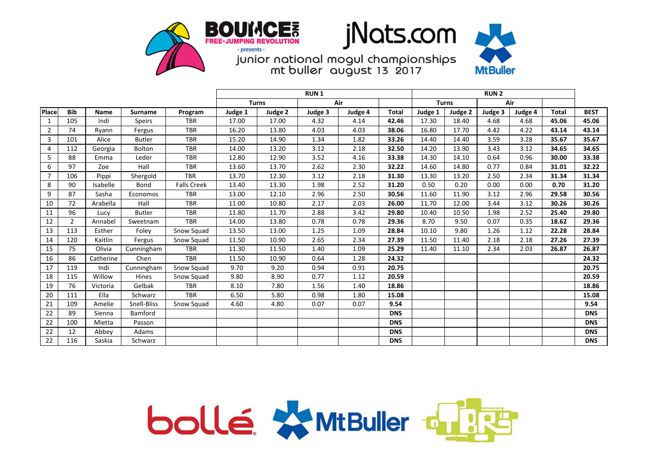





|                |                |             |                 |                    | <b>RUN1</b>         |         |         |         |              | <b>RUN 2</b> |         |         |         |              |             |
|----------------|----------------|-------------|-----------------|--------------------|---------------------|---------|---------|---------|--------------|--------------|---------|---------|---------|--------------|-------------|
|                |                |             |                 |                    | Air<br><b>Turns</b> |         |         |         | <b>Turns</b> |              | Air     |         |         |              |             |
| Place          | <b>Bib</b>     | <b>Name</b> | <b>Surname</b>  | Program            | Judge 1             | Judge 2 | Judge 3 | Judge 4 | <b>Total</b> | Judge 1      | Judge 2 | Judge 3 | Judge 4 | <b>Total</b> | <b>BEST</b> |
| $\mathbf{1}$   | 105            | Indi        | <b>Speirs</b>   | <b>TBR</b>         | 17.00               | 17.00   | 4.32    | 4.14    | 42.46        | 17.30        | 18.40   | 4.68    | 4.68    | 45.06        | 45.06       |
| $\overline{2}$ | 74             | Rvann       | Fergus          | <b>TBR</b>         | 16.20               | 13.80   | 4.03    | 4.03    | 38.06        | 16.80        | 17.70   | 4.42    | 4.22    | 43.14        | 43.14       |
| 3              | 101            | Alice       | <b>Butler</b>   | <b>TBR</b>         | 15.20               | 14.90   | 1.34    | 1.82    | 33.26        | 14.40        | 14.40   | 3.59    | 3.28    | 35.67        | 35.67       |
| $\overline{4}$ | 112            | Georgia     | Bolton          | <b>TBR</b>         | 14.00               | 13.20   | 3.12    | 2.18    | 32.50        | 14.20        | 13.90   | 3.43    | 3.12    | 34.65        | 34.65       |
| 5              | 88             | Emma        | Leder           | <b>TBR</b>         | 12.80               | 12.90   | 3.52    | 4.16    | 33.38        | 14.30        | 14.10   | 0.64    | 0.96    | 30.00        | 33.38       |
| 6              | 97             | Zoe         | Hall            | <b>TBR</b>         | 13.60               | 13.70   | 2.62    | 2.30    | 32.22        | 14.60        | 14.80   | 0.77    | 0.84    | 31.01        | 32.22       |
| $\overline{7}$ | 106            | Pippi       | Shergold        | <b>TBR</b>         | 13.70               | 12.30   | 3.12    | 2.18    | 31.30        | 13.30        | 13.20   | 2.50    | 2.34    | 31.34        | 31.34       |
| 8              | 90             | Isabelle    | Bond            | <b>Falls Creek</b> | 13.40               | 13.30   | 1.98    | 2.52    | 31.20        | 0.50         | 0.20    | 0.00    | 0.00    | 0.70         | 31.20       |
| 9              | 87             | Sasha       | <b>Economos</b> | <b>TBR</b>         | 13.00               | 12.10   | 2.96    | 2.50    | 30.56        | 11.60        | 11.90   | 3.12    | 2.96    | 29.58        | 30.56       |
| 10             | 72             | Arabella    | Hall            | <b>TBR</b>         | 11.00               | 10.80   | 2.17    | 2.03    | 26.00        | 11.70        | 12.00   | 3.44    | 3.12    | 30.26        | 30.26       |
| 11             | 96             | Lucy        | <b>Butler</b>   | <b>TBR</b>         | 11.80               | 11.70   | 2.88    | 3.42    | 29.80        | 10.40        | 10.50   | 1.98    | 2.52    | 25.40        | 29.80       |
| 12             | $\overline{2}$ | Annabel     | Sweetnam        | <b>TBR</b>         | 14.00               | 13.80   | 0.78    | 0.78    | 29.36        | 8.70         | 9.50    | 0.07    | 0.35    | 18.62        | 29.36       |
| 13             | 113            | Esther      | Foley           | Snow Squad         | 13.50               | 13.00   | 1.25    | 1.09    | 28.84        | 10.10        | 9.80    | 1.26    | 1.12    | 22.28        | 28.84       |
| 14             | 120            | Kaitlin     | Fergus          | Snow Squad         | 11.50               | 10.90   | 2.65    | 2.34    | 27.39        | 11.50        | 11.40   | 2.18    | 2.18    | 27.26        | 27.39       |
| 15             | 75             | Olivia      | Cunningham      | <b>TBR</b>         | 11.30               | 11.50   | 1.40    | 1.09    | 25.29        | 11.40        | 11.10   | 2.34    | 2.03    | 26.87        | 26.87       |
| 16             | 86             | Catherine   | Chen            | <b>TBR</b>         | 11.50               | 10.90   | 0.64    | 1.28    | 24.32        |              |         |         |         |              | 24.32       |
| 17             | 119            | Indi        | Cunningham      | Snow Squad         | 9.70                | 9.20    | 0.94    | 0.91    | 20.75        |              |         |         |         |              | 20.75       |
| 18             | 115            | Willow      | Hines           | Snow Squad         | 9.80                | 8.90    | 0.77    | 1.12    | 20.59        |              |         |         |         |              | 20.59       |
| 19             | 76             | Victoria    | Gelbak          | <b>TBR</b>         | 8.10                | 7.80    | 1.56    | 1.40    | 18.86        |              |         |         |         |              | 18.86       |
| 20             | 111            | Ella        | Schwarz         | <b>TBR</b>         | 6.50                | 5.80    | 0.98    | 1.80    | 15.08        |              |         |         |         |              | 15.08       |
| 21             | 109            | Amelie      | Snell-Bliss     | Snow Squad         | 4.60                | 4.80    | 0.07    | 0.07    | 9.54         |              |         |         |         |              | 9.54        |
| 22             | 89             | Sienna      | Bamford         |                    |                     |         |         |         | <b>DNS</b>   |              |         |         |         |              | <b>DNS</b>  |
| 22             | 100            | Mietta      | Passon          |                    |                     |         |         |         | <b>DNS</b>   |              |         |         |         |              | <b>DNS</b>  |
| 22             | 12             | Abbey       | Adams           |                    |                     |         |         |         | <b>DNS</b>   |              |         |         |         |              | <b>DNS</b>  |
| 22             | 116            | Saskia      | Schwarz         |                    |                     |         |         |         | <b>DNS</b>   |              |         |         |         |              | <b>DNS</b>  |

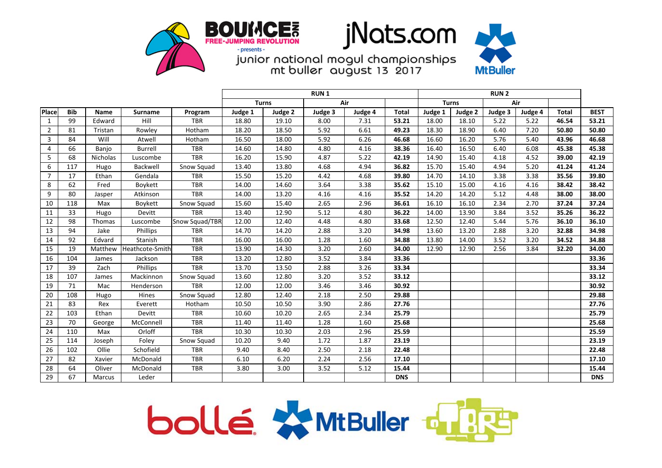





|                |            |             |                 |                | <b>RUN1</b>         |         |         |                     |              |         |         |         |         |              |             |
|----------------|------------|-------------|-----------------|----------------|---------------------|---------|---------|---------------------|--------------|---------|---------|---------|---------|--------------|-------------|
|                |            |             |                 |                | Air<br><b>Turns</b> |         |         | Air<br><b>Turns</b> |              |         |         |         |         |              |             |
| <b>Place</b>   | <b>Bib</b> | <b>Name</b> | <b>Surname</b>  | Program        | Judge 1             | Judge 2 | Judge 3 | Judge 4             | <b>Total</b> | Judge 1 | Judge 2 | Judge 3 | Judge 4 | <b>Total</b> | <b>BEST</b> |
| $\mathbf{1}$   | 99         | Edward      | Hill            | <b>TBR</b>     | 18.80               | 19.10   | 8.00    | 7.31                | 53.21        | 18.00   | 18.10   | 5.22    | 5.22    | 46.54        | 53.21       |
| $\overline{2}$ | 81         | Tristan     | Rowley          | Hotham         | 18.20               | 18.50   | 5.92    | 6.61                | 49.23        | 18.30   | 18.90   | 6.40    | 7.20    | 50.80        | 50.80       |
| 3              | 84         | Will        | Atwell          | Hotham         | 16.50               | 18.00   | 5.92    | 6.26                | 46.68        | 16.60   | 16.20   | 5.76    | 5.40    | 43.96        | 46.68       |
| 4              | 66         | Banjo       | <b>Burrell</b>  | <b>TBR</b>     | 14.60               | 14.80   | 4.80    | 4.16                | 38.36        | 16.40   | 16.50   | 6.40    | 6.08    | 45.38        | 45.38       |
| 5              | 68         | Nicholas    | Luscombe        | <b>TBR</b>     | 16.20               | 15.90   | 4.87    | 5.22                | 42.19        | 14.90   | 15.40   | 4.18    | 4.52    | 39.00        | 42.19       |
| 6              | 117        | Hugo        | Backwell        | Snow Squad     | 13.40               | 13.80   | 4.68    | 4.94                | 36.82        | 15.70   | 15.40   | 4.94    | 5.20    | 41.24        | 41.24       |
| $\overline{7}$ | 17         | Ethan       | Gendala         | <b>TBR</b>     | 15.50               | 15.20   | 4.42    | 4.68                | 39.80        | 14.70   | 14.10   | 3.38    | 3.38    | 35.56        | 39.80       |
| 8              | 62         | Fred        | Boykett         | <b>TBR</b>     | 14.00               | 14.60   | 3.64    | 3.38                | 35.62        | 15.10   | 15.00   | 4.16    | 4.16    | 38.42        | 38.42       |
| 9              | 80         | Jasper      | Atkinson        | <b>TBR</b>     | 14.00               | 13.20   | 4.16    | 4.16                | 35.52        | 14.20   | 14.20   | 5.12    | 4.48    | 38.00        | 38.00       |
| 10             | 118        | Max         | Boykett         | Snow Squad     | 15.60               | 15.40   | 2.65    | 2.96                | 36.61        | 16.10   | 16.10   | 2.34    | 2.70    | 37.24        | 37.24       |
| 11             | 33         | Hugo        | Devitt          | <b>TBR</b>     | 13.40               | 12.90   | 5.12    | 4.80                | 36.22        | 14.00   | 13.90   | 3.84    | 3.52    | 35.26        | 36.22       |
| 12             | 98         | Thomas      | Luscombe        | Snow Squad/TBR | 12.00               | 12.40   | 4.48    | 4.80                | 33.68        | 12.50   | 12.40   | 5.44    | 5.76    | 36.10        | 36.10       |
| 13             | 94         | Jake        | Phillips        | <b>TBR</b>     | 14.70               | 14.20   | 2.88    | 3.20                | 34.98        | 13.60   | 13.20   | 2.88    | 3.20    | 32.88        | 34.98       |
| 14             | 92         | Edvard      | Stanish         | <b>TBR</b>     | 16.00               | 16.00   | 1.28    | 1.60                | 34.88        | 13.80   | 14.00   | 3.52    | 3.20    | 34.52        | 34.88       |
| 15             | 19         | Matthew     | Heathcote-Smith | <b>TBR</b>     | 13.90               | 14.30   | 3.20    | 2.60                | 34.00        | 12.90   | 12.90   | 2.56    | 3.84    | 32.20        | 34.00       |
| 16             | 104        | James       | Jackson         | <b>TBR</b>     | 13.20               | 12.80   | 3.52    | 3.84                | 33.36        |         |         |         |         |              | 33.36       |
| 17             | 39         | Zach        | Phillips        | <b>TBR</b>     | 13.70               | 13.50   | 2.88    | 3.26                | 33.34        |         |         |         |         |              | 33.34       |
| 18             | 107        | James       | Mackinnon       | Snow Squad     | 13.60               | 12.80   | 3.20    | 3.52                | 33.12        |         |         |         |         |              | 33.12       |
| 19             | 71         | Mac         | Henderson       | <b>TBR</b>     | 12.00               | 12.00   | 3.46    | 3.46                | 30.92        |         |         |         |         |              | 30.92       |
| 20             | 108        | Hugo        | Hines           | Snow Squad     | 12.80               | 12.40   | 2.18    | 2.50                | 29.88        |         |         |         |         |              | 29.88       |
| 21             | 83         | Rex         | Everett         | Hotham         | 10.50               | 10.50   | 3.90    | 2.86                | 27.76        |         |         |         |         |              | 27.76       |
| 22             | 103        | Ethan       | Devitt          | <b>TBR</b>     | 10.60               | 10.20   | 2.65    | 2.34                | 25.79        |         |         |         |         |              | 25.79       |
| 23             | 70         | George      | McConnell       | <b>TBR</b>     | 11.40               | 11.40   | 1.28    | 1.60                | 25.68        |         |         |         |         |              | 25.68       |
| 24             | 110        | Max         | Orloff          | <b>TBR</b>     | 10.30               | 10.30   | 2.03    | 2.96                | 25.59        |         |         |         |         |              | 25.59       |
| 25             | 114        | Joseph      | Foley           | Snow Squad     | 10.20               | 9.40    | 1.72    | 1.87                | 23.19        |         |         |         |         |              | 23.19       |
| 26             | 102        | Ollie       | Schofield       | <b>TBR</b>     | 9.40                | 8.40    | 2.50    | 2.18                | 22.48        |         |         |         |         |              | 22.48       |
| 27             | 82         | Xavier      | McDonald        | <b>TBR</b>     | 6.10                | 6.20    | 2.24    | 2.56                | 17.10        |         |         |         |         |              | 17.10       |
| 28             | 64         | Oliver      | McDonald        | <b>TBR</b>     | 3.80                | 3.00    | 3.52    | 5.12                | 15.44        |         |         |         |         |              | 15.44       |
| 29             | 67         | Marcus      | Leder           |                |                     |         |         |                     | <b>DNS</b>   |         |         |         |         |              | <b>DNS</b>  |

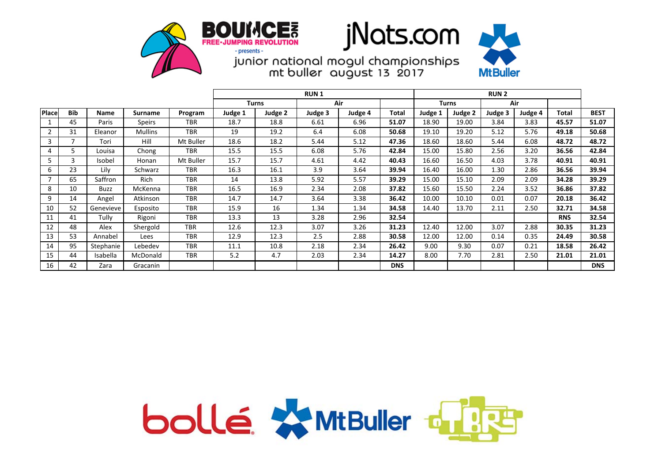





|                |            |           |                |            | <b>RUN1</b> |              |      |         |            |              | <b>RUN2</b> |         |         |            |             |  |
|----------------|------------|-----------|----------------|------------|-------------|--------------|------|---------|------------|--------------|-------------|---------|---------|------------|-------------|--|
|                |            |           |                |            |             | <b>Turns</b> | Air  |         |            | <b>Turns</b> |             | Air     |         |            |             |  |
| <b>Place</b>   | <b>Bib</b> | Name      | Surname        | Program    | Judge 1     | Judge 2      |      | Judge 4 | Total      | Judge 1      | Judge 2     | Judge 3 | Judge 4 | Total      | <b>BEST</b> |  |
|                | 45         | Paris     | Speirs         | <b>TBR</b> | 18.7        | 18.8         | 6.61 | 6.96    | 51.07      | 18.90        | 19.00       | 3.84    | 3.83    | 45.57      | 51.07       |  |
| $\overline{2}$ | 31         | Eleanor   | <b>Mullins</b> | <b>TBR</b> | 19          | 19.2         | 6.4  | 6.08    | 50.68      | 19.10        | 19.20       | 5.12    | 5.76    | 49.18      | 50.68       |  |
| 3              | 7          | Tori      | Hill           | Mt Buller  | 18.6        | 18.2         | 5.44 | 5.12    | 47.36      | 18.60        | 18.60       | 5.44    | 6.08    | 48.72      | 48.72       |  |
| 4              | 5          | Louisa    | Chong          | <b>TBR</b> | 15.5        | 15.5         | 6.08 | 5.76    | 42.84      | 15.00        | 15.80       | 2.56    | 3.20    | 36.56      | 42.84       |  |
| 5              | 3          | Isobel    | Honan          | Mt Buller  | 15.7        | 15.7         | 4.61 | 4.42    | 40.43      | 16.60        | 16.50       | 4.03    | 3.78    | 40.91      | 40.91       |  |
| 6              | 23         | Lily      | Schwarz        | <b>TBR</b> | 16.3        | 16.1         | 3.9  | 3.64    | 39.94      | 16.40        | 16.00       | 1.30    | 2.86    | 36.56      | 39.94       |  |
|                | 65         | Saffron   | Rich           | <b>TBR</b> | 14          | 13.8         | 5.92 | 5.57    | 39.29      | 15.00        | 15.10       | 2.09    | 2.09    | 34.28      | 39.29       |  |
| 8              | 10         | Buzz      | McKenna        | <b>TBR</b> | 16.5        | 16.9         | 2.34 | 2.08    | 37.82      | 15.60        | 15.50       | 2.24    | 3.52    | 36.86      | 37.82       |  |
| 9              | 14         | Angel     | Atkinson       | <b>TBR</b> | 14.7        | 14.7         | 3.64 | 3.38    | 36.42      | 10.00        | 10.10       | 0.01    | 0.07    | 20.18      | 36.42       |  |
| 10             | 52         | Genevieve | Esposito       | <b>TBR</b> | 15.9        | 16           | 1.34 | 1.34    | 34.58      | 14.40        | 13.70       | 2.11    | 2.50    | 32.71      | 34.58       |  |
| 11             | 41         | Tully     | Rigoni         | <b>TBR</b> | 13.3        | 13           | 3.28 | 2.96    | 32.54      |              |             |         |         | <b>RNS</b> | 32.54       |  |
| 12             | 48         | Alex      | Shergold       | <b>TBR</b> | 12.6        | 12.3         | 3.07 | 3.26    | 31.23      | 12.40        | 12.00       | 3.07    | 2.88    | 30.35      | 31.23       |  |
| 13             | 53         | Annabel   | Lees           | <b>TBR</b> | 12.9        | 12.3         | 2.5  | 2.88    | 30.58      | 12.00        | 12.00       | 0.14    | 0.35    | 24.49      | 30.58       |  |
| 14             | 95         | Stephanie | Lebedev        | <b>TBR</b> | 11.1        | 10.8         | 2.18 | 2.34    | 26.42      | 9.00         | 9.30        | 0.07    | 0.21    | 18.58      | 26.42       |  |
| 15             | 44         | Isabella  | McDonald       | <b>TBR</b> | 5.2         | 4.7          | 2.03 | 2.34    | 14.27      | 8.00         | 7.70        | 2.81    | 2.50    | 21.01      | 21.01       |  |
| 16             | 42         | Zara      | Gracanin       |            |             |              |      |         | <b>DNS</b> |              |             |         |         |            | <b>DNS</b>  |  |